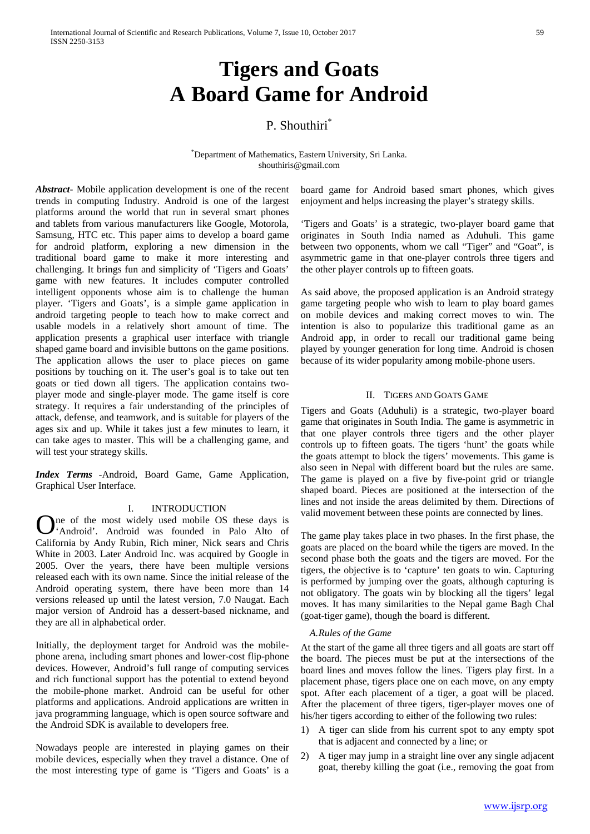# **Tigers and Goats A Board Game for Android**

## P. Shouthiri<sup>\*</sup>

\* Department of Mathematics, Eastern University, Sri Lanka. [shouthiris@gmail.com](mailto:shouthiris@gmail.com)

*Abstract-* Mobile application development is one of the recent trends in computing Industry. Android is one of the largest platforms around the world that run in several smart phones and tablets from various manufacturers like Google, Motorola, Samsung, HTC etc. This paper aims to develop a board game for android platform, exploring a new dimension in the traditional board game to make it more interesting and challenging. It brings fun and simplicity of 'Tigers and Goats' game with new features. It includes computer controlled intelligent opponents whose aim is to challenge the human player. 'Tigers and Goats', is a simple game application in android targeting people to teach how to make correct and usable models in a relatively short amount of time. The application presents a graphical user interface with triangle shaped game board and invisible buttons on the game positions. The application allows the user to place pieces on game positions by touching on it. The user's goal is to take out ten goats or tied down all tigers. The application contains twoplayer mode and single-player mode. The game itself is core strategy. It requires a fair understanding of the principles of attack, defense, and teamwork, and is suitable for players of the ages six and up. While it takes just a few minutes to learn, it can take ages to master. This will be a challenging game, and will test your strategy skills.

*Index Terms -*Android, Board Game, Game Application, Graphical User Interface.

## I. INTRODUCTION

ne of the most widely used mobile OS these days is One of the most widely used mobile OS these days is<br>
Android'. Android was founded in Palo Alto of California by Andy Rubin, Rich miner, Nick sears and Chris White in 2003. Later Android Inc. was acquired by Google in 2005. Over the years, there have been multiple versions released each with its own name. Since the initial release of the Android operating system, there have been more than 14 versions released up until the latest version, 7.0 Naugat. Each major version of Android has a dessert-based nickname, and they are all in alphabetical order.

Initially, the deployment target for Android was the mobilephone arena, including smart phones and lower-cost flip-phone devices. However, Android's full range of computing services and rich functional support has the potential to extend beyond the mobile-phone market. Android can be useful for other platforms and applications. Android applications are written in java programming language, which is open source software and the Android SDK is available to developers free.

Nowadays people are interested in playing games on their mobile devices, especially when they travel a distance. One of the most interesting type of game is 'Tigers and Goats' is a board game for Android based smart phones, which gives enjoyment and helps increasing the player's strategy skills.

'Tigers and Goats' is a strategic, two-player board game that originates in South India named as Aduhuli. This game between two opponents, whom we call "Tiger" and "Goat", is asymmetric game in that one-player controls three tigers and the other player controls up to fifteen goats.

As said above, the proposed application is an Android strategy game targeting people who wish to learn to play board games on mobile devices and making correct moves to win. The intention is also to popularize this traditional game as an Android app, in order to recall our traditional game being played by younger generation for long time. Android is chosen because of its wider popularity among mobile-phone users.

## II. TIGERS AND GOATS GAME

Tigers and Goats (Aduhuli) is a strategic, two-player board game that originates in South India. The game is asymmetric in that one player controls three tigers and the other player controls up to fifteen goats. The tigers 'hunt' the goats while the goats attempt to block the tigers' movements. This game is also seen in Nepal with different board but the rules are same. The game is played on a five by five-point grid or triangle shaped board. Pieces are positioned at the intersection of the lines and not inside the areas delimited by them. Directions of valid movement between these points are connected by lines.

The game play takes place in two phases. In the first phase, the goats are placed on the board while the tigers are moved. In the second phase both the goats and the tigers are moved. For the tigers, the objective is to 'capture' ten goats to win. Capturing is performed by jumping over the goats, although capturing is not obligatory. The goats win by blocking all the tigers' legal moves. It has many similarities to the Nepal game Bagh Chal (goat-tiger game), though the board is different.

#### *A.Rules of the Game*

At the start of the game all three tigers and all goats are start off the board. The pieces must be put at the intersections of the board lines and moves follow the lines. Tigers play first. In a placement phase, tigers place one on each move, on any empty spot. After each placement of a tiger, a goat will be placed. After the placement of three tigers, tiger-player moves one of his/her tigers according to either of the following two rules:

- 1) A tiger can slide from his current spot to any empty spot that is adjacent and connected by a line; or
- 2) A tiger may jump in a straight line over any single adjacent goat, thereby killing the goat (i.e., removing the goat from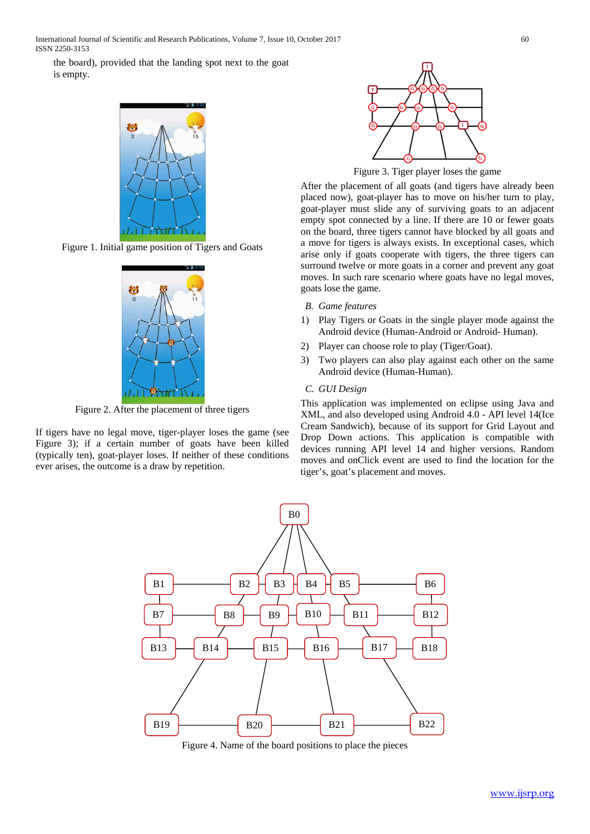the board), provided that the landing spot next to the goat is empty.



Figure 1. Initial game position of Tigers and Goats



Figure 2. After the placement of three tigers

If tigers have no legal move, tiger-player loses the game (see Figure 3); if a certain number of goats have been killed (typically ten), goat-player loses. If neither of these conditions ever arises, the outcome is a draw by repetition.



Figure 3. Tiger player loses the game

After the placement of all goats (and tigers have already been placed now), goat-player has to move on his/her turn to play, goat-player must slide any of surviving goats to an adjacent empty spot connected by a line. If there are 10 or fewer goats on the board, three tigers cannot have blocked by all goats and a move for tigers is always exists. In exceptional cases, which arise only if goats cooperate with tigers, the three tigers can surround twelve or more goats in a corner and prevent any goat moves. In such rare scenario where goats have no legal moves, goats lose the game.

#### *B. Game features*

- 1) Play Tigers or Goats in the single player mode against the Android device (Human-Android or Android- Human).
- 2) Player can choose role to play (Tiger/Goat).
- 3) Two players can also play against each other on the same Android device (Human-Human).

#### *C. GUI Design*

This application was implemented on eclipse using Java and XML, and also developed using Android 4.0 - API level 14(Ice Cream Sandwich), because of its support for Grid Layout and Drop Down actions. This application is compatible with devices running API level 14 and higher versions. Random moves and onClick event are used to find the location for the tiger's, goat's placement and moves.



Figure 4. Name of the board positions to place the pieces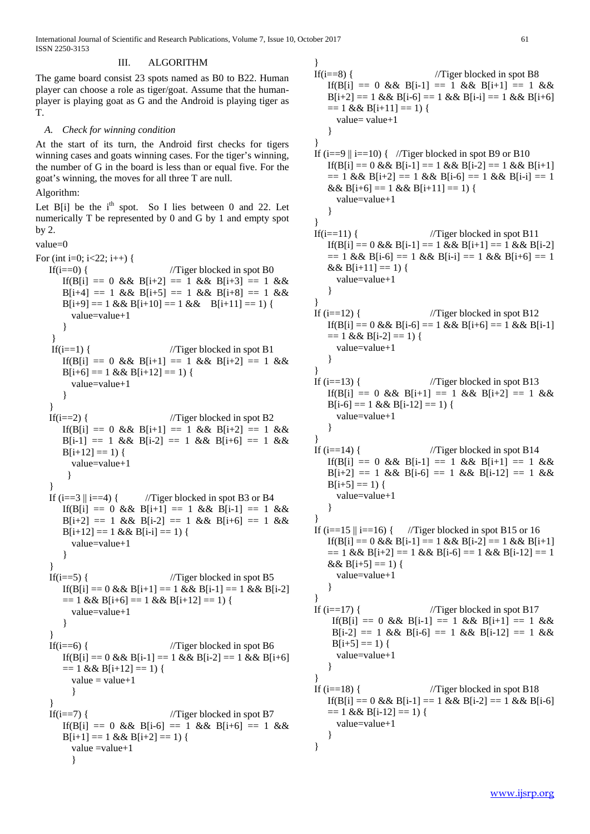## III. ALGORITHM

The game board consist 23 spots named as B0 to B22. Human player can choose a role as tiger/goat. Assume that the humanplayer is playing goat as G and the Android is playing tiger as T.

## *A. Check for winning condition*

At the start of its turn, the Android first checks for tigers winning cases and goats winning cases. For the tiger's winning, the number of G in the board is less than or equal five. For the goat's winning, the moves for all three T are null.

## Algorithm:

Let  $B[i]$  be the  $i<sup>th</sup>$  spot. So I lies between 0 and 22. Let numerically T be represented by 0 and G by 1 and empty spot by 2.

```
value=0
```

```
For (int i=0; i < 22; i++) {
   If(i=0) { //Tiger blocked in spot B0If(B[i] == 0 && B[i+2] == 1 && B[i+3] == 1 &&
       B[i+4] == 1 \&\& B[i+5] == 1 \&\& B[i+8] == 1 \&\& B[i+8] == 1 \&\& B[i+8] == 1 \&\& B[i+8] == 1 \&\& B[i+8] == 1 \&\& B[i+8] == 1 \&\& B[i+8] == 1 \&\& B[i+8] == 1 \&\& B[i+8] == 1 \&\& B[i+8] == 1 \&\& B[i+8] == 1 \&\& B[i+8] == 1 \&\& B[i+8] == 1 \&\& B[i+8] == 1 \&\& B[i+8] == 1 \&\& B[i+8] == 1 \&\& B[i+8B[i+9] = 1 \&\& B[i+10] = 1 \&\& B[i+11] = 1value=value+1
        }
     } 
    If(i==1) { //Tiger blocked in spot B1If(B[i] == 0 && B[i+1] == 1 && B[i+2] == 1 &&
       B[i+6] == 1 \& B[i+12] == 1)value=value+1
        }
    } 
   If(i==2) { //Tiger blocked in spot B2If(B[i] == 0 && B[i+1] == 1 && B[i+2] == 1 &&
       B[i-1] == 1 \&\& B[i-2] == 1 \&\& B[i+6] == 1 \&\&B[i+12] == 1) {
          value=value+1
         }
    }
   If (i == 3 \mid i == 4) { //Tiger blocked in spot B3 or B4
       If(B[i] == 0 && B[i+1] == 1 && B[i-1] == 1 &&
       B[i+2] == 1 \&\& B[i-2] == 1 \&\& B[i+6] == 1 \&\& B[i+6] == 1 \&\& B[i+6] == 1 \&\& B[i+6] == 1 \&\& B[i+6] == 1 \&\& B[i+6] == 1 \&\& B[i+6] == 1 \&\& B[i+6] == 1 \&\& B[i+6] == 1 \&\& B[i+6] == 1 \&\& B[i+6] == 1 \&\& B[i+6] == 1 \&\& B[i+6] == 1 \&\& B[i+6] == 1 \&\& B[i+6] == 1 \&\& B[i+6] == 1 \&\& B[i+6B[i+12] == 1 \& \& B[i-i] == 1)value=value+1
        }
    }
   If(i==5) { //Tiger blocked in spot B5
       If(B[i] == 0 && B[i+1] == 1 && B[i-1] == 1 && B[i-2]
       == 1 & 8 & 16i+6 == 1 & 8 & 16i+12 == 1)value=value+1
        }
    }
   If(i==6) { //Tiger blocked in spot B6
       If(B[i] == 0 && B[i-1] == 1 && B[i-2] == 1 && B[i+6]
       == 1 & \& B[i+12] == 1)value = value + 1}
    }
   If(i = 7) { //Tiger blocked in spot B7
       If(B[i] == 0 && B[i-6] == 1 && B[i+6] == 1 &&
        B[i+1] == 1 \& B[i+2] == 1)value = value + 1}
```

```
}
If(i == 8) { //Tiger blocked in spot B8
   If(B[i] == 0 && B[i-1] == 1 && B[i+1] == 1 &&
   B[i+2] == 1 \&\& B[i-6] == 1 \&\& B[i-i] == 1 \&\& B[i+6]== 1 & \& \& B[i+11] == 1)value= value+1
   }
}
If (i==9 \parallel i==10) { //Tiger blocked in spot B9 or B10
   If(B[i] == 0 && B[i-1] == 1 && B[i-2] == 1 && B[i+1]
   == 1 \& \& \text{ B[i+2]} == 1 \& \& \text{ B[i-6]} == 1 \& \& \text{ B[i-i]} == 1&\&B[i+6] = 1 \&\&B[i+11] = 1 {
     value=value+1
   }
}
If(i=11) { //Tiger blocked in spot B11If(B[i] == 0 && B[i-1] == 1 && B[i+1] == 1 && B[i-2]
   = 1 \&\& B[i-6] = 1 \&\& B[i-i] = 1 \&\& B[i+6] = 1&\&B[i+11] == 1) {
     value=value+1
   }
} 
If (i=12) { //Tiger blocked in spot B12If(B[i] == 0 && B[i-6] == 1 && B[i+6] == 1 && B[i-1]
   == 1 & & B[i-2] == 1) {
     value=value+1
   }
} 
If (i=13) { //Tiger blocked in spot B13If(B[i] == 0 && B[i+1] == 1 && B[i+2] == 1 &&
   B[i-6] == 1 \&\& B[i-12] == 1)value=value+1
    }
}
If (i=14) { //Tiger blocked in spot B14If(B[i] == 0 && B[i-1] == 1 && B[i+1] == 1 &&
   B[i+2] == 1 \&\& B[i-6] == 1 \&\& B[i-12] == 1 \&\& B[i-12] == 1 \&\& B[i-12] == 1 \&\& B[i-12] == 1 \&\& B[i-12] == 1 \&\& B[i-12] == 1 \&\& B[i-12] == 1 \&\& B[i-12] == 1 \&\& B[i-12] == 1 \&\& B[i-12] == 1 \&\& B[i-12] == 1 \&\& B[i-12] == 1 \&\& B[i-12] == 1 \&\& B[i-12] == 1 \&\& B[i-12] == 1 \&\& BB[i+5] == 1) {
     value=value+1
    }
} 
If (i=15 \mid i=16) { //Tiger blocked in spot B15 or 16
   If(B[i] == 0 && B[i-1] == 1 && B[i-2] == 1 && B[i+1]
   == 1 & 0 & 0 \text{ if } 1 + 2 = 1 & 0 & 0 \text{ if } 0 & 0 \text{ if } 12 = 1&\&B[i+5] == 1) {
     value=value+1 
   }
}<br>If (i==17) {
                             //Tiger blocked in spot B17
    If(B[i] == 0 && B[i-1] == 1 && B[i+1] == 1 &&
    B[i-2] == 1 \&\& B[i-6] == 1 \&\& B[i-12] == 1 \&\&B[i+5] == 1)value=value+1
   }
}
If (i=18) { //Tiger blocked in spot B18If(B[i] == 0 && B[i-1] == 1 && B[i-2] == 1 && B[i-6]
   == 1 & \& \& B[i-12] == 1)value=value+1 
   }
}
```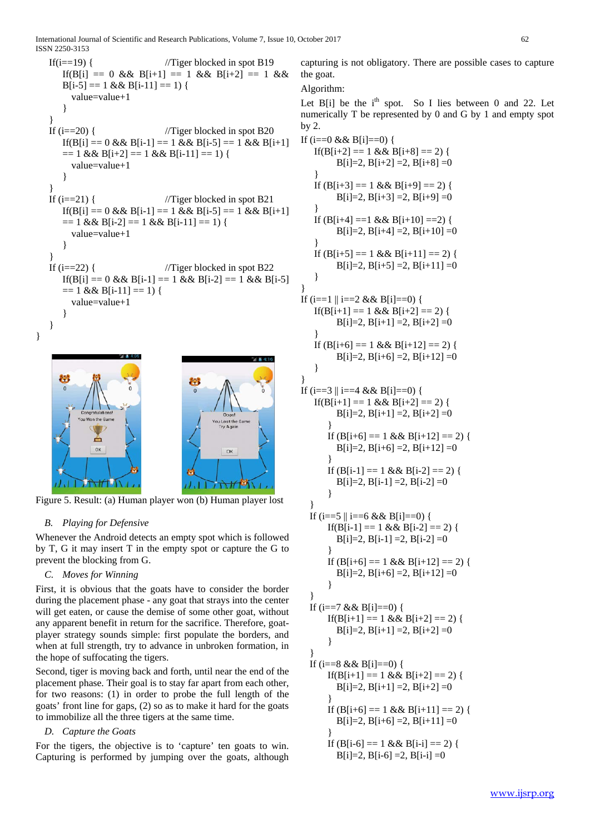International Journal of Scientific and Research Publications, Volume 7, Issue 10, October 2017 62 ISSN 2250-3153

```
If(i=19) { //Tiger blocked in spot B19If(B[i] == 0 && B[i+1] == 1 && B[i+2] == 1 &&
   B[i-5] == 1 \&\& B[i-11] == 1)value=value+1
   }
}
If (i=20) { //Tiger blocked in spot B20If(B[i] == 0 && B[i-1] == 1 && B[i-5] == 1 && B[i+1]
  == 1 & 8 & 15i+2 = 1 & 8 & 15i-11 = 1value=value+1
   }
}
If (i=21) { //Tiger blocked in spot B21If(B[i] == 0 && B[i-1] == 1 && B[i-5] == 1 && B[i+1]
  == 1 & \& B[i-2] == 1 & \& B[i-11] == 1)value=value+1 
   }
}
If (i=22) { //Tiger blocked in spot B22If(B[i] == 0 && B[i-1] == 1 && B[i-2] == 1 && B[i-5]
  == 1 & \& \& B[i-11] == 1)value=value+1 
   }
}
  制
                              U
                                     Try Again
         Ò
          O<sub>k</sub>OK
```
 $\frac{1}{11}$  Figure 5. Result: (a) Human player won (b) Human player lost

## *B. Playing for Defensive*

}

Whenever the Android detects an empty spot which is followed by T, G it may insert T in the empty spot or capture the G to prevent the blocking from G.

## *C. Moves for Winning*

First, it is obvious that the goats have to consider the border during the placement phase - any goat that strays into the center will get eaten, or cause the demise of some other goat, without any apparent benefit in return for the sacrifice. Therefore, goatplayer strategy sounds simple: first populate the borders, and when at full strength, try to advance in unbroken formation, in the hope of suffocating the tigers.

Second, tiger is moving back and forth, until near the end of the placement phase. Their goal is to stay far apart from each other, for two reasons: (1) in order to probe the full length of the goats' front line for gaps, (2) so as to make it hard for the goats to immobilize all the three tigers at the same time.

## *D. Capture the Goats*

For the tigers, the objective is to 'capture' ten goats to win. Capturing is performed by jumping over the goats, although capturing is not obligatory. There are possible cases to capture the goat.

## Algorithm:

Let  $B[i]$  be the  $i<sup>th</sup>$  spot. So I lies between 0 and 22. Let numerically T be represented by 0 and G by 1 and empty spot by 2.

```
If (i == 0 \& \& B[i] == 0) {
   If(B[i+2] = 1 \&\& B[i+8] = 2) {
        B[i]=2, B[i+2]=2, B[i+8]=0}
   If (B[i+3] == 1 \& B[i+9] == 2)B[i]=2, B[i+3]=2, B[i+9]=0}
   If (B[i+4] == 1 \& B[i+10] == 2)B[i]=2, B[i+4]=2, B[i+10]=0}
  If (B[i+5] == 1 \& B[i+11] == 2)B[i]=2, B[i+5]=2, B[i+11]=0}
} 
If (i == 1 \mid i == 2 \& \& B[i] == 0) {
   If(B[i+1] == 1 \& B[i+2] == 2)B[i]=2, B[i+1]=2, B[i+2]=0}
  If (B[i+6] == 1 \& B[i+12] == 2)B[i]=2, B[i+6]=2, B[i+12]=0}
} 
If (i == 3 \parallel i == 4 \& \& B[i] == 0) {
   If(B[i+1] = 1 & & B[i+2] = 2) {
        B[i]=2, B[i+1]=2, B[i+2]=0}
      If (B[i+6] == 1 \& B[i+12] == 2)B[i]=2, B[i+6]=2, B[i+12]=0}
      If (B[i-1] == 1 \& B[i-2] == 2)B[i]=2, B[i-1]=2, B[i-2]=0}
  }
 If (i == 5 \mid i == 6 \&\& B[i] == 0)If(B[i-1] == 1 & & B[i-2] == 2) {
        B[i]=2, B[i-1]=2, B[i-2]=0}
      If (B[i+6] == 1 \& B[i+12] == 2)B[i]=2, B[i+6]=2, B[i+12]=0}
  }
 If (i==7 && B[i]==0) {
      If(B[i+1] == 1 & & B[i+2] == 2) {
        B[i]=2, B[i+1]=2, B[i+2]=0}
  }
  If (i == 8 \& 8 \& 1] == 0 {
      If(B[i+1] = 1 \& 8 \& 10[i+2] = 2) {
        B[i]=2, B[i+1]=2, B[i+2]=0}
      If (B[i+6] == 1 \& B[i+11] == 2)B[i]=2, B[i+6] = 2, B[i+11] = 0}
      If (B[i-6] == 1 \& B[i-i] == 2)B[i]=2, B[i-6]=2, B[i-i]=0
```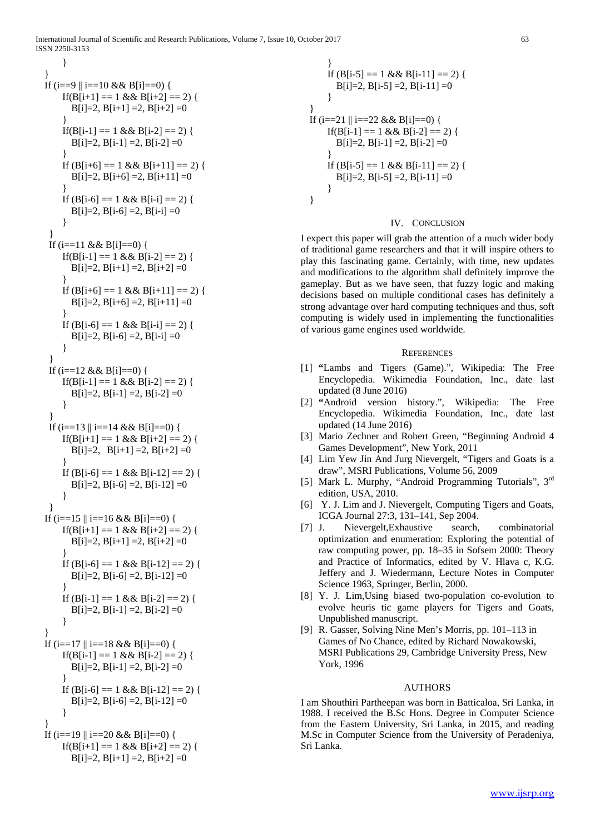International Journal of Scientific and Research Publications, Volume 7, Issue 10, October 2017 63 ISSN 2250-3153

```
}
}
If (i == 9 \mid i == 10 \& 8 \mid i == 10 \midIf(B[i+1] == 1 \& B[i+2] == 2)B[i]=2, B[i+1]=2, B[i+2]=0}
    If(B[i-1] = 1 \& 8 \& 10[i-2] = 2) {
      B[i]=2, B[i-1]=2, B[i-2]=0}
    If (B[i+6] == 1 \& B[i+11] == 2)B[i]=2, B[i+6]=2, B[i+11]=0}
    If (B[i-6] == 1 \& B[i-i] == 2)B[i]=2, B[i-6]=2, B[i-i]=0}
 }
 If (i=11 \& 8 \&  B[i]=0) {
    If(B[i-1] = 1 \&\& B[i-2] = 2) {
      B[i]=2, B[i+1]=2, B[i+2]=0}
    If (B[i+6] == 1 \& B[i+11] == 2)B[i]=2, B[i+6]=2, B[i+11]=0}
    If (B[i-6] == 1 \& B[i-i] == 2)B[i]=2, B[i-6]=2, B[i-i]=0}
 }
 If (i == 12 \& \& B[i] == 0) {
    If(B[i-1] == 1 && B[i-2] == 2) {
      B[i]=2, B[i-1]=2, B[i-2]=0}
 }
 If (i=13 \mid i==14 \& \& B[i]=0) {
    If(B[i+1] == 1 \& B[i+2] == 2)B[i]=2, B[i+1]=2, B[i+2]=0}
    If (B[i-6] == 1 \& B[i-12] == 2)B[i]=2, B[i-6]=2, B[i-12]=0}
 }
If (i==15 \parallel i==16 && B[i]==0) {
    If(B[i+1] = 1 & & B[i+2] = 2) {
      B[i]=2, B[i+1]=2, B[i+2]=0}
    If (B[i-6] == 1 \& B[i-12] == 2)B[i]=2, B[i-6]=2, B[i-12]=0}
    If (B[i-1] == 1 \& B[i-2] == 2)B[i]=2, B[i-1]=2, B[i-2]=0}
}
If (i=17 \mid i==18 \& \& B[i]=0) {
    If(B[i-1] == 1 & & B[i-2] == 2) {
      B[i]=2, B[i-1]=2, B[i-2]=0}
    If (B[i-6] == 1 \& B[i-12] == 2)B[i]=2, B[i-6]=2, B[i-12]=0}
}
If (i=19 \mid i==20 \& \& B[i]=0) {
    If(B[i+1] == 1 && B[i+2] == 2) {
      B[i]=2, B[i+1]=2, B[i+2]=0
```

$$
\begin{aligned}\n &\text{If } (B[i-5] == 1 \&& B[i-11] == 2) \{ \\
 & B[i]=2, B[i-5] == 2, B[i-11] == 0 \\
} \\
 &\text{If } (i == 21 \parallel i == 22 \&& B[i] == 0) \{ \\
 & \text{If } (B[i-1] == 1 \&& B[i-2] == 2) \{ \\
 & B[i]=2, B[i-1] == 2, B[i-2] == 0 \} \\
 &\text{If } (B[i-5] == 1 \&& B[i-11] == 2) \{ \\
 & B[i]=2, B[i-5] == 2, B[i-11] == 0 \} \\
 &\text{} \end{aligned}
$$

#### IV. CONCLUSION

I expect this paper will grab the attention of a much wider body of traditional game researchers and that it will inspire others to play this fascinating game. Certainly, with time, new updates and modifications to the algorithm shall definitely improve the gameplay. But as we have seen, that fuzzy logic and making decisions based on multiple conditional cases has definitely a strong advantage over hard computing techniques and thus, soft computing is widely used in implementing the functionalities of various game engines used worldwide.

#### **REFERENCES**

- [1] **"**Lambs and Tigers (Game).", Wikipedia: The Free Encyclopedia. Wikimedia Foundation, Inc., date last updated (8 June 2016)
- [2] **"**Android version history.", Wikipedia: The Free Encyclopedia. Wikimedia Foundation, Inc., date last updated (14 June 2016)
- [3] Mario Zechner and Robert Green, "Beginning Android 4 Games Development", New York, 2011
- [4] Lim Yew Jin And Jurg Nievergelt, "Tigers and Goats is a draw", MSRI Publications, Volume 56, 2009
- [5] Mark L. Murphy, "Android Programming Tutorials", 3rd edition, USA, 2010.
- [6] Y. J. Lim and J. Nievergelt, Computing Tigers and Goats, ICGA Journal 27:3, 131–141, Sep 2004.
- [7] J. Nievergelt,Exhaustive search, combinatorial optimization and enumeration: Exploring the potential of raw computing power, pp. 18–35 in Sofsem 2000: Theory and Practice of Informatics, edited by V. Hlava c, K.G. Jeffery and J. Wiedermann, Lecture Notes in Computer Science 1963, Springer, Berlin, 2000.
- [8] Y. J. Lim,Using biased two-population co-evolution to evolve heuris tic game players for Tigers and Goats, Unpublished manuscript.
- [9] R. Gasser, Solving Nine Men's Morris, pp. 101–113 in Games of No Chance, edited by Richard Nowakowski, MSRI Publications 29, Cambridge University Press, New York, 1996

## AUTHORS

I am Shouthiri Partheepan was born in Batticaloa, Sri Lanka, in 1988. I received the B.Sc Hons. Degree in Computer Science from the Eastern University, Sri Lanka, in 2015, and reading M.Sc in Computer Science from the University of Peradeniya, Sri Lanka.